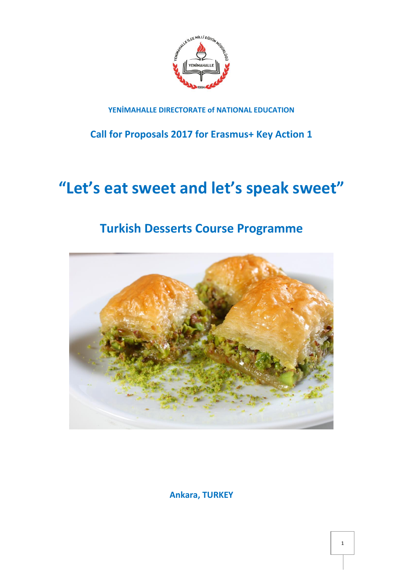

### **YENİMAHALLE DIRECTORATE of NATIONAL EDUCATION**

**Call for Proposals 2017 for Erasmus+ Key Action 1**

# **"Let's eat sweet and let's speak sweet"**

## **Turkish Desserts Course Programme**



**Ankara, TURKEY**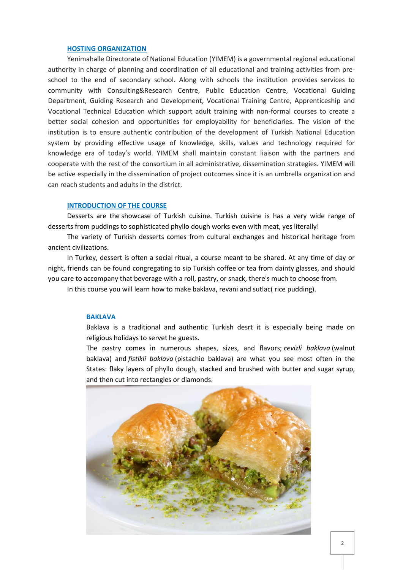#### **HOSTING ORGANIZATION**

Yenimahalle Directorate of National Education (YIMEM) is a governmental regional educational authority in charge of planning and coordination of all educational and training activities from preschool to the end of secondary school. Along with schools the institution provides services to community with Consulting&Research Centre, Public Education Centre, Vocational Guiding Department, Guiding Research and Development, Vocational Training Centre, Apprenticeship and Vocational Technical Education which support adult training with non-formal courses to create a better social cohesion and opportunities for employability for beneficiaries. The vision of the institution is to ensure authentic contribution of the development of Turkish National Education system by providing effective usage of knowledge, skills, values and technology required for knowledge era of today's world. YIMEM shall maintain constant liaison with the partners and cooperate with the rest of the consortium in all administrative, dissemination strategies. YIMEM will be active especially in the dissemination of project outcomes since it is an umbrella organization and can reach students and adults in the district.

#### **INTRODUCTION OF THE COURSE**

Desserts are the showcase of Turkish cuisine. Turkish cuisine is has a very wide range of desserts from puddings to sophisticated phyllo dough works even with meat, yes literally!

The variety of Turkish desserts comes from cultural exchanges and historical heritage from ancient civilizations.

In Turkey, dessert is often a social ritual, a course meant to be shared. At any time of day or night, friends can be found congregating to sip Turkish coffee or tea from dainty glasses, and should you care to accompany that beverage with a roll, pastry, or snack, there's much to choose from.

In this course you will learn how to make baklava, revani and sutlac( rice pudding).

#### **BAKLAVA**

Baklava is a traditional and authentic Turkish desrt it is especially being made on religious holidays to servet he guests.

The pastry comes in numerous shapes, sizes, and flavors; *cevizli baklava* (walnut baklava) and *fistikli baklava* (pistachio baklava) are what you see most often in the States: flaky layers of phyllo dough, stacked and brushed with butter and sugar syrup, and then cut into rectangles or diamonds.

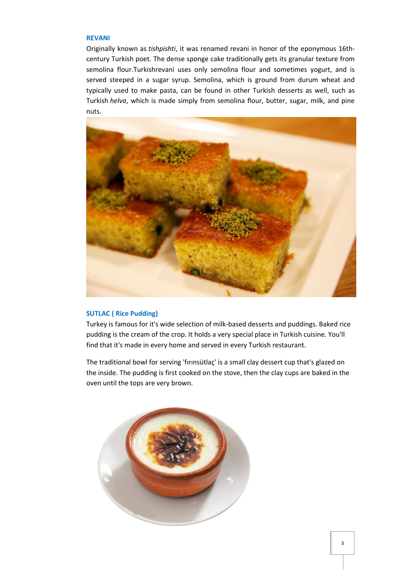#### **REVANI**

Originally known as *tishpishti*, it was renamed revani in honor of the eponymous 16thcentury Turkish poet. The dense sponge cake traditionally gets its granular texture from semolina flour.Turkishrevani uses only semolina flour and sometimes yogurt, and is served steeped in a sugar syrup. Semolina, which is ground from durum wheat and typically used to make pasta, can be found in other Turkish desserts as well, such as Turkish *helva*, which is made simply from semolina flour, butter, sugar, milk, and pine nuts.



#### **SUTLAC ( Rice Pudding)**

Turkey is famous for it's wide selection of milk-based desserts and puddings. Baked rice pudding is the cream of the crop. It holds a very special place in [Turkish cuisine.](http://turkishfood.about.com/od/DiscoverTurkishFood/) You'll find that it's made in every home and served in every Turkish restaurant.

The traditional bowl for serving 'fırınsütlaç' is a small clay dessert cup that's glazed on the inside. The pudding is first cooked on the stove, then the clay cups are baked in the oven until the tops are very brown.